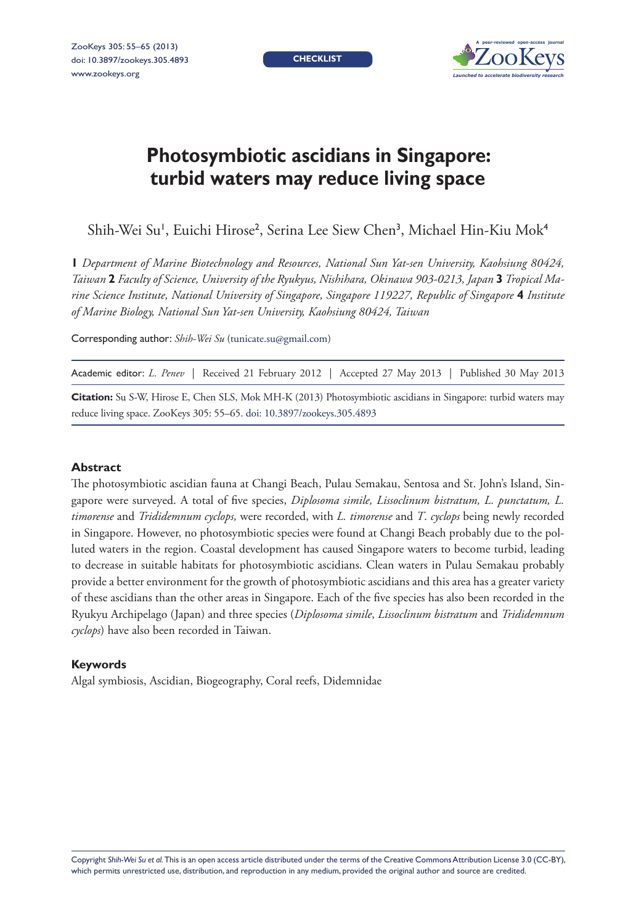**CHECKLIST** 



# **Photosymbiotic ascidians in Singapore: turbid waters may reduce living space**

Shih-Wei Su', Euichi Hirose<sup>2</sup>, Serina Lee Siew Chen<sup>3</sup>, Michael Hin-Kiu Mok<sup>4</sup>

**1** *Department of Marine Biotechnology and Resources, National Sun Yat-sen University, Kaohsiung 80424, Taiwan* **2** *Faculty of Science, University of the Ryukyus, Nishihara, Okinawa 903-0213, Japan* **3** *Tropical Marine Science Institute, National University of Singapore, Singapore 119227, Republic of Singapore* **4** *Institute of Marine Biology, National Sun Yat-sen University, Kaohsiung 80424, Taiwan*

Corresponding author: *Shih-Wei Su* ([tunicate.su@gmail.com](mailto:tunicate.su@gmail.com))

| Academic editor: L. Penev   Received 21 February 2012   Accepted 27 May 2013   Published 30 May 2013                  |  |  |  |
|-----------------------------------------------------------------------------------------------------------------------|--|--|--|
| <b>Citation:</b> Su S-W, Hirose E, Chen SLS, Mok MH-K (2013) Photosymbiotic ascidians in Singapore: turbid waters may |  |  |  |
| reduce living space. ZooKeys 305: 55–65. doi: 10.3897/zookeys.305.4893                                                |  |  |  |

#### **Abstract**

The photosymbiotic ascidian fauna at Changi Beach, Pulau Semakau, Sentosa and St. John's Island, Singapore were surveyed. A total of five species, *Diplosoma simile, Lissoclinum bistratum, L. punctatum, L. timorense* and *Trididemnum cyclops,* were recorded, with *L. timorense* and *T*. *cyclops* being newly recorded in Singapore. However, no photosymbiotic species were found at Changi Beach probably due to the polluted waters in the region. Coastal development has caused Singapore waters to become turbid, leading to decrease in suitable habitats for photosymbiotic ascidians. Clean waters in Pulau Semakau probably provide a better environment for the growth of photosymbiotic ascidians and this area has a greater variety of these ascidians than the other areas in Singapore. Each of the five species has also been recorded in the Ryukyu Archipelago (Japan) and three species (*Diplosoma simile*, *Lissoclinum bistratum* and *Trididemnum cyclops*) have also been recorded in Taiwan.

#### **Keywords**

Algal symbiosis, Ascidian, Biogeography, Coral reefs, Didemnidae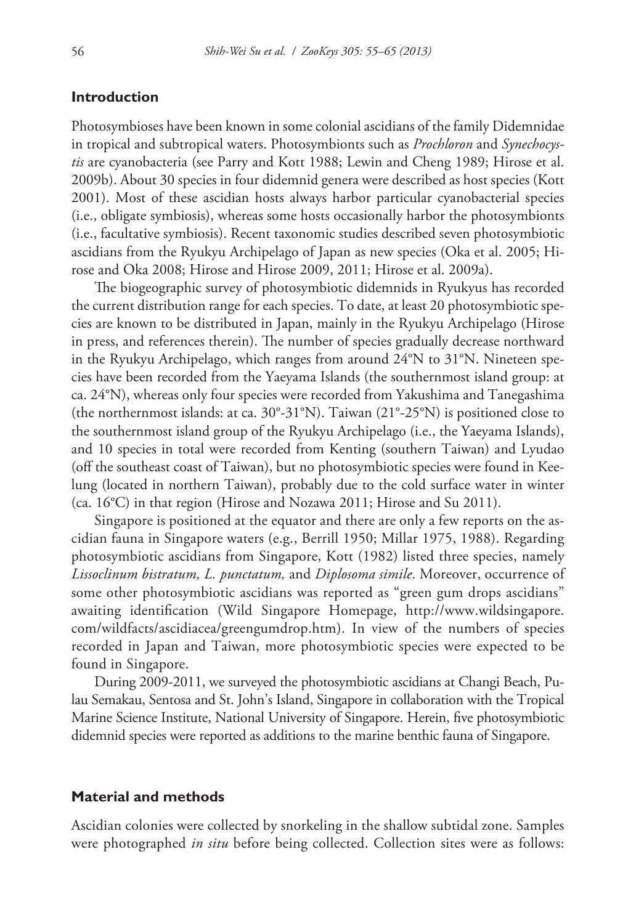## **Introduction**

Photosymbioses have been known in some colonial ascidians of the family Didemnidae in tropical and subtropical waters. Photosymbionts such as *Prochloron* and *Synechocystis* are cyanobacteria (see Parry and Kott 1988; Lewin and Cheng 1989; Hirose et al. 2009b). About 30 species in four didemnid genera were described as host species (Kott 2001). Most of these ascidian hosts always harbor particular cyanobacterial species (i.e., obligate symbiosis), whereas some hosts occasionally harbor the photosymbionts (i.e., facultative symbiosis). Recent taxonomic studies described seven photosymbiotic ascidians from the Ryukyu Archipelago of Japan as new species (Oka et al. 2005; Hirose and Oka 2008; Hirose and Hirose 2009, 2011; Hirose et al. 2009a).

The biogeographic survey of photosymbiotic didemnids in Ryukyus has recorded the current distribution range for each species. To date, at least 20 photosymbiotic species are known to be distributed in Japan, mainly in the Ryukyu Archipelago (Hirose in press, and references therein). The number of species gradually decrease northward in the Ryukyu Archipelago, which ranges from around 24°N to 31°N. Nineteen species have been recorded from the Yaeyama Islands (the southernmost island group: at ca. 24°N), whereas only four species were recorded from Yakushima and Tanegashima (the northernmost islands: at ca. 30°-31°N). Taiwan (21°-25°N) is positioned close to the southernmost island group of the Ryukyu Archipelago (i.e., the Yaeyama Islands), and 10 species in total were recorded from Kenting (southern Taiwan) and Lyudao (off the southeast coast of Taiwan), but no photosymbiotic species were found in Keelung (located in northern Taiwan), probably due to the cold surface water in winter (ca. 16°C) in that region (Hirose and Nozawa 2011; Hirose and Su 2011).

Singapore is positioned at the equator and there are only a few reports on the ascidian fauna in Singapore waters (e.g., Berrill 1950; Millar 1975, 1988). Regarding photosymbiotic ascidians from Singapore, Kott (1982) listed three species, namely *Lissoclinum bistratum, L. punctatum,* and *Diplosoma simile*. Moreover, occurrence of some other photosymbiotic ascidians was reported as "green gum drops ascidians" awaiting identification (Wild Singapore Homepage, [http://www.wildsingapore.](http://www.wildsingapore.com/wildfacts/ascidiacea/greengumdrop.htm) [com/wildfacts/ascidiacea/greengumdrop.htm\)](http://www.wildsingapore.com/wildfacts/ascidiacea/greengumdrop.htm). In view of the numbers of species recorded in Japan and Taiwan, more photosymbiotic species were expected to be found in Singapore.

During 2009-2011, we surveyed the photosymbiotic ascidians at Changi Beach, Pulau Semakau, Sentosa and St. John's Island, Singapore in collaboration with the Tropical Marine Science Institute, National University of Singapore. Herein, five photosymbiotic didemnid species were reported as additions to the marine benthic fauna of Singapore.

#### **Material and methods**

Ascidian colonies were collected by snorkeling in the shallow subtidal zone. Samples were photographed *in situ* before being collected. Collection sites were as follows: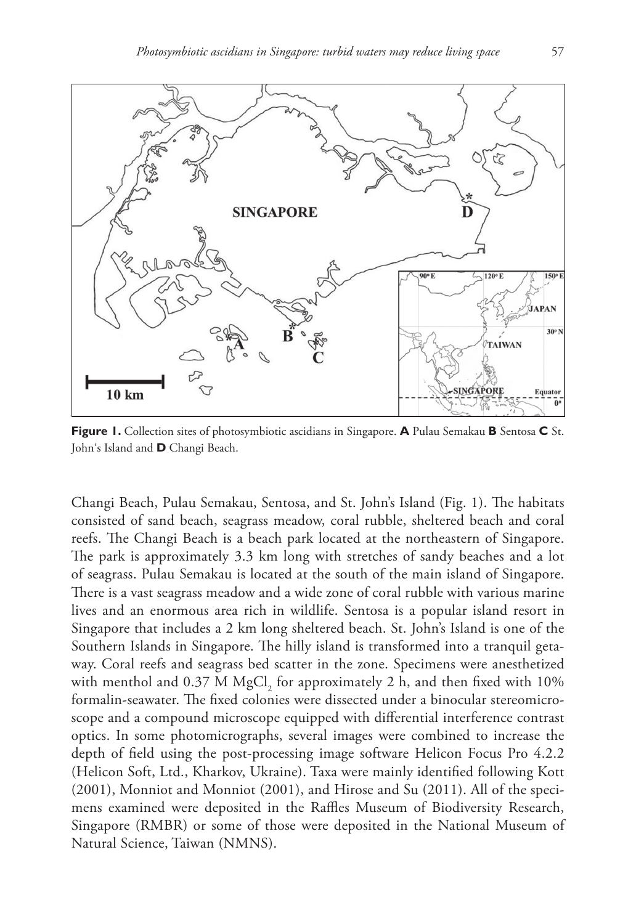

**Figure 1.** Collection sites of photosymbiotic ascidians in Singapore. **A** Pulau Semakau **B** Sentosa **C** St. John's Island and **D** Changi Beach.

Changi Beach, Pulau Semakau, Sentosa, and St. John's Island (Fig. 1). The habitats consisted of sand beach, seagrass meadow, coral rubble, sheltered beach and coral reefs. The Changi Beach is a beach park located at the northeastern of Singapore. The park is approximately 3.3 km long with stretches of sandy beaches and a lot of seagrass. Pulau Semakau is located at the south of the main island of Singapore. There is a vast seagrass meadow and a wide zone of coral rubble with various marine lives and an enormous area rich in wildlife. Sentosa is a popular island resort in Singapore that includes a 2 km long sheltered beach. St. John's Island is one of the Southern Islands in Singapore. The hilly island is transformed into a tranquil getaway. Coral reefs and seagrass bed scatter in the zone. Specimens were anesthetized with menthol and 0.37 M  $MgCl<sub>2</sub>$  for approximately 2 h, and then fixed with 10% formalin-seawater. The fixed colonies were dissected under a binocular stereomicroscope and a compound microscope equipped with differential interference contrast optics. In some photomicrographs, several images were combined to increase the depth of field using the post-processing image software Helicon Focus Pro 4.2.2 (Helicon Soft, Ltd., Kharkov, Ukraine). Taxa were mainly identified following Kott (2001), Monniot and Monniot (2001), and Hirose and Su (2011). All of the specimens examined were deposited in the Raffles Museum of Biodiversity Research, Singapore (RMBR) or some of those were deposited in the National Museum of Natural Science, Taiwan (NMNS).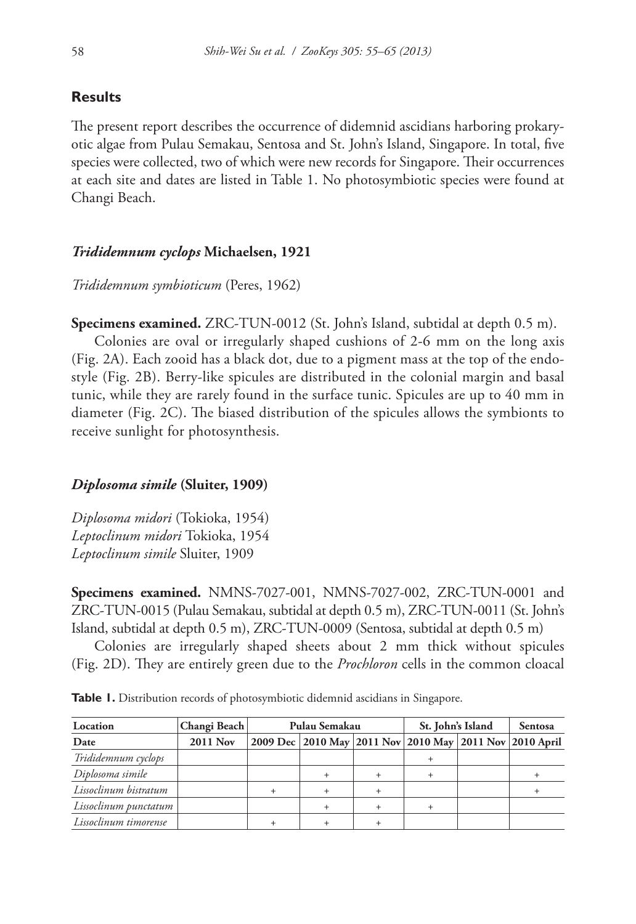## **Results**

The present report describes the occurrence of didemnid ascidians harboring prokaryotic algae from Pulau Semakau, Sentosa and St. John's Island, Singapore. In total, five species were collected, two of which were new records for Singapore. Their occurrences at each site and dates are listed in Table 1. No photosymbiotic species were found at Changi Beach.

## *Trididemnum cyclops* **Michaelsen, 1921**

*Trididemnum symbioticum* (Peres, 1962)

**Specimens examined.** ZRC-TUN-0012 (St. John's Island, subtidal at depth 0.5 m).

Colonies are oval or irregularly shaped cushions of 2-6 mm on the long axis (Fig. 2A). Each zooid has a black dot, due to a pigment mass at the top of the endostyle (Fig. 2B). Berry-like spicules are distributed in the colonial margin and basal tunic, while they are rarely found in the surface tunic. Spicules are up to 40 mm in diameter (Fig. 2C). The biased distribution of the spicules allows the symbionts to receive sunlight for photosynthesis.

#### *Diplosoma simile* **(Sluiter, 1909)**

*Diplosoma midori* (Tokioka, 1954) *Leptoclinum midori* Tokioka, 1954 *Leptoclinum simile* Sluiter, 1909

**Specimens examined.** NMNS-7027-001, NMNS-7027-002, ZRC-TUN-0001 and ZRC-TUN-0015 (Pulau Semakau, subtidal at depth 0.5 m), ZRC-TUN-0011 (St. John's Island, subtidal at depth 0.5 m), ZRC-TUN-0009 (Sentosa, subtidal at depth 0.5 m)

Colonies are irregularly shaped sheets about 2 mm thick without spicules (Fig. 2D). They are entirely green due to the *Prochloron* cells in the common cloacal

| Location              | Changi Beach    | Pulau Semakau                                           | St. John's Island |  | <b>Sentosa</b> |
|-----------------------|-----------------|---------------------------------------------------------|-------------------|--|----------------|
| Date                  | <b>2011 Nov</b> | 2009 Dec 2010 May 2011 Nov 2010 May 2011 Nov 2010 April |                   |  |                |
| Trididemnum cyclops   |                 |                                                         |                   |  |                |
| Diplosoma simile      |                 |                                                         |                   |  |                |
| Lissoclinum bistratum |                 |                                                         |                   |  |                |
| Lissoclinum punctatum |                 |                                                         |                   |  |                |
| Lissoclinum timorense |                 |                                                         |                   |  |                |

**Table 1.** Distribution records of photosymbiotic didemnid ascidians in Singapore.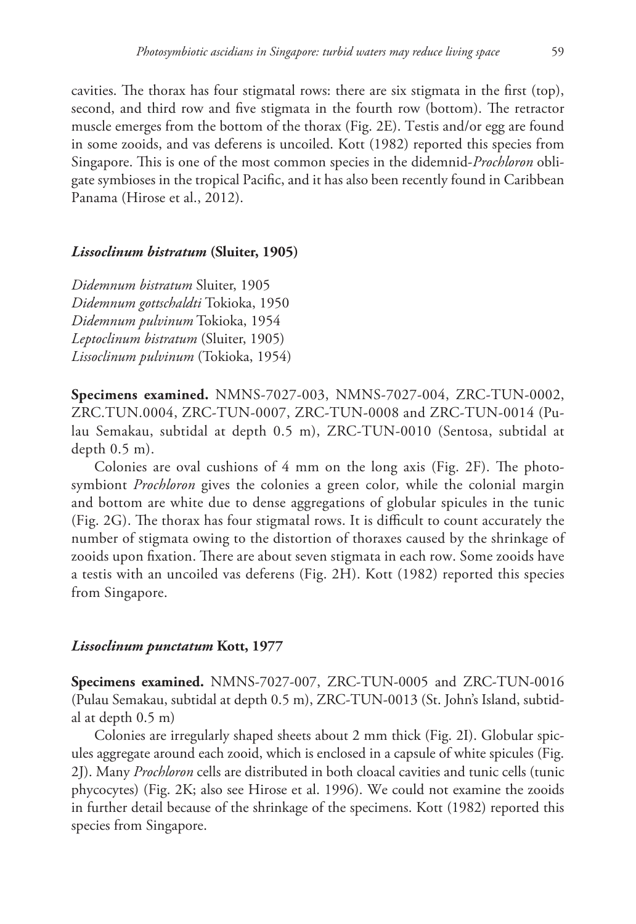cavities. The thorax has four stigmatal rows: there are six stigmata in the first (top), second, and third row and five stigmata in the fourth row (bottom). The retractor muscle emerges from the bottom of the thorax (Fig. 2E). Testis and/or egg are found in some zooids, and vas deferens is uncoiled. Kott (1982) reported this species from Singapore. This is one of the most common species in the didemnid-*Prochloron* obligate symbioses in the tropical Pacific, and it has also been recently found in Caribbean Panama (Hirose et al., 2012).

#### *Lissoclinum bistratum* **(Sluiter, 1905)**

*Didemnum bistratum* Sluiter, 1905 *Didemnum gottschaldti* Tokioka, 1950 *Didemnum pulvinum* Tokioka, 1954 *Leptoclinum bistratum* (Sluiter, 1905) *Lissoclinum pulvinum* (Tokioka, 1954)

**Specimens examined.** NMNS-7027-003, NMNS-7027-004, ZRC-TUN-0002, ZRC.TUN.0004, ZRC-TUN-0007, ZRC-TUN-0008 and ZRC-TUN-0014 (Pulau Semakau, subtidal at depth 0.5 m), ZRC-TUN-0010 (Sentosa, subtidal at depth 0.5 m).

Colonies are oval cushions of 4 mm on the long axis (Fig. 2F). The photosymbiont *Prochloron* gives the colonies a green color*,* while the colonial margin and bottom are white due to dense aggregations of globular spicules in the tunic (Fig. 2G). The thorax has four stigmatal rows. It is difficult to count accurately the number of stigmata owing to the distortion of thoraxes caused by the shrinkage of zooids upon fixation. There are about seven stigmata in each row. Some zooids have a testis with an uncoiled vas deferens (Fig. 2H). Kott (1982) reported this species from Singapore.

#### *Lissoclinum punctatum* **Kott, 1977**

**Specimens examined.** NMNS-7027-007, ZRC-TUN-0005 and ZRC-TUN-0016 (Pulau Semakau, subtidal at depth 0.5 m), ZRC-TUN-0013 (St. John's Island, subtidal at depth 0.5 m)

Colonies are irregularly shaped sheets about 2 mm thick (Fig. 2I). Globular spicules aggregate around each zooid, which is enclosed in a capsule of white spicules (Fig. 2J). Many *Prochloron* cells are distributed in both cloacal cavities and tunic cells (tunic phycocytes) (Fig. 2K; also see Hirose et al. 1996). We could not examine the zooids in further detail because of the shrinkage of the specimens. Kott (1982) reported this species from Singapore.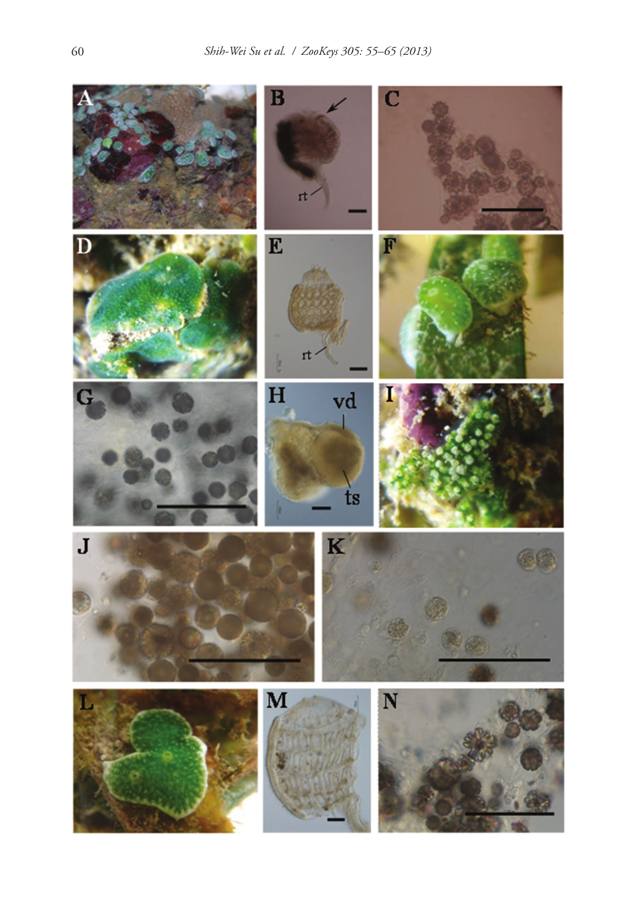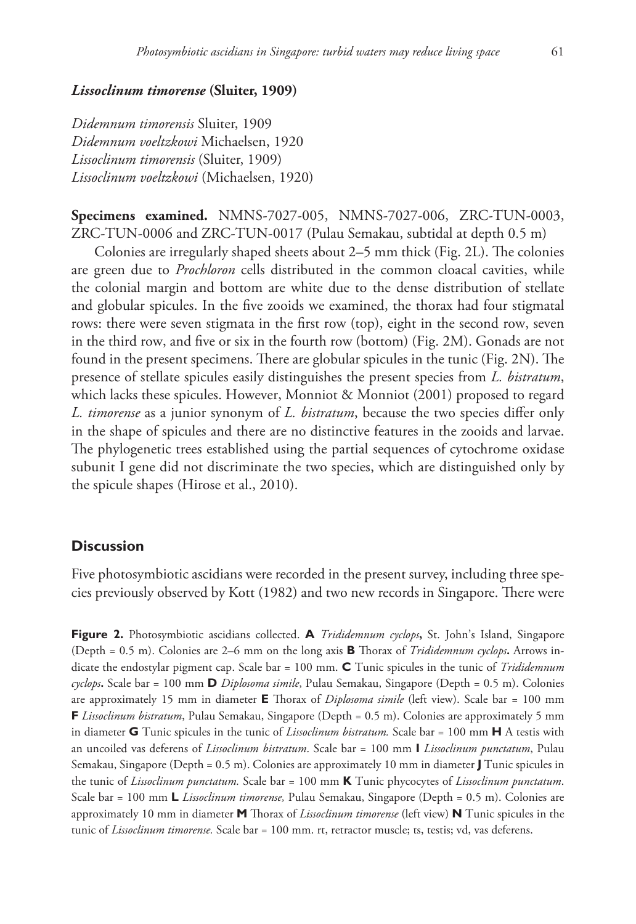*Didemnum timorensis* Sluiter, 1909 *Didemnum voeltzkowi* Michaelsen, 1920 *Lissoclinum timorensis* (Sluiter, 1909) *Lissoclinum voeltzkowi* (Michaelsen, 1920)

**Specimens examined.** NMNS-7027-005, NMNS-7027-006, ZRC-TUN-0003, ZRC-TUN-0006 and ZRC-TUN-0017 (Pulau Semakau, subtidal at depth 0.5 m)

Colonies are irregularly shaped sheets about 2–5 mm thick (Fig. 2L). The colonies are green due to *Prochloron* cells distributed in the common cloacal cavities, while the colonial margin and bottom are white due to the dense distribution of stellate and globular spicules. In the five zooids we examined, the thorax had four stigmatal rows: there were seven stigmata in the first row (top), eight in the second row, seven in the third row, and five or six in the fourth row (bottom) (Fig. 2M). Gonads are not found in the present specimens. There are globular spicules in the tunic (Fig. 2N). The presence of stellate spicules easily distinguishes the present species from *L. bistratum*, which lacks these spicules. However, Monniot & Monniot (2001) proposed to regard *L. timorense* as a junior synonym of *L. bistratum*, because the two species differ only in the shape of spicules and there are no distinctive features in the zooids and larvae. The phylogenetic trees established using the partial sequences of cytochrome oxidase subunit I gene did not discriminate the two species, which are distinguished only by the spicule shapes (Hirose et al., 2010).

### **Discussion**

Five photosymbiotic ascidians were recorded in the present survey, including three species previously observed by Kott (1982) and two new records in Singapore. There were

**Figure 2.** Photosymbiotic ascidians collected. **A** *Trididemnum cyclops***,** St. John's Island, Singapore (Depth = 0.5 m). Colonies are 2–6 mm on the long axis **B** Thorax of *Trididemnum cyclops***.** Arrows indicate the endostylar pigment cap. Scale bar = 100 mm. **C** Tunic spicules in the tunic of *Trididemnum cyclops***.** Scale bar = 100 mm **D** *Diplosoma simile*, Pulau Semakau, Singapore (Depth = 0.5 m). Colonies are approximately 15 mm in diameter **E** Thorax of *Diplosoma simile* (left view). Scale bar = 100 mm **F** *Lissoclinum bistratum*, Pulau Semakau, Singapore (Depth = 0.5 m). Colonies are approximately 5 mm in diameter **G** Tunic spicules in the tunic of *Lissoclinum bistratum.* Scale bar = 100 mm **H** A testis with an uncoiled vas deferens of *Lissoclinum bistratum*. Scale bar = 100 mm **I** *Lissoclinum punctatum*, Pulau Semakau, Singapore (Depth = 0.5 m). Colonies are approximately 10 mm in diameter **J** Tunic spicules in the tunic of *Lissoclinum punctatum.* Scale bar = 100 mm **K** Tunic phycocytes of *Lissoclinum punctatum*. Scale bar = 100 mm **L** *Lissoclinum timorense,* Pulau Semakau, Singapore (Depth = 0.5 m). Colonies are approximately 10 mm in diameter **M** Thorax of *Lissoclinum timorense* (left view) **N** Tunic spicules in the tunic of *Lissoclinum timorense.* Scale bar = 100 mm. rt, retractor muscle; ts, testis; vd, vas deferens.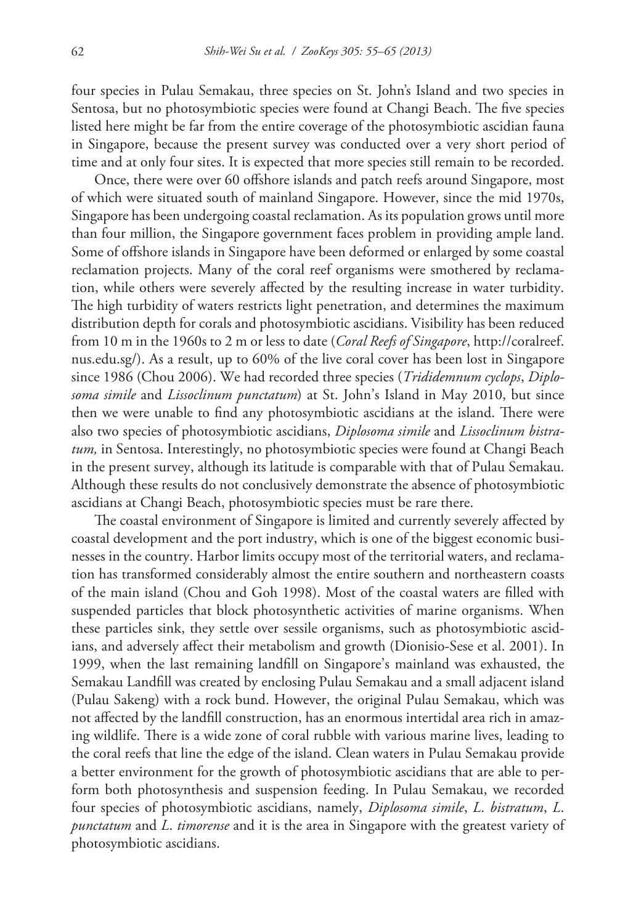four species in Pulau Semakau, three species on St. John's Island and two species in Sentosa, but no photosymbiotic species were found at Changi Beach. The five species listed here might be far from the entire coverage of the photosymbiotic ascidian fauna in Singapore, because the present survey was conducted over a very short period of time and at only four sites. It is expected that more species still remain to be recorded.

Once, there were over 60 offshore islands and patch reefs around Singapore, most of which were situated south of mainland Singapore. However, since the mid 1970s, Singapore has been undergoing coastal reclamation. As its population grows until more than four million, the Singapore government faces problem in providing ample land. Some of offshore islands in Singapore have been deformed or enlarged by some coastal reclamation projects. Many of the coral reef organisms were smothered by reclamation, while others were severely affected by the resulting increase in water turbidity. The high turbidity of waters restricts light penetration, and determines the maximum distribution depth for corals and photosymbiotic ascidians. Visibility has been reduced from 10 m in the 1960s to 2 m or less to date (*Coral Reefs of Singapore*, [http://coralreef.](http://coralreef.nus.edu.sg/) [nus.edu.sg/\)](http://coralreef.nus.edu.sg/). As a result, up to 60% of the live coral cover has been lost in Singapore since 1986 (Chou 2006). We had recorded three species (*Trididemnum cyclops*, *Diplosoma simile* and *Lissoclinum punctatum*) at St. John's Island in May 2010, but since then we were unable to find any photosymbiotic ascidians at the island. There were also two species of photosymbiotic ascidians, *Diplosoma simile* and *Lissoclinum bistratum,* in Sentosa. Interestingly, no photosymbiotic species were found at Changi Beach in the present survey, although its latitude is comparable with that of Pulau Semakau. Although these results do not conclusively demonstrate the absence of photosymbiotic ascidians at Changi Beach, photosymbiotic species must be rare there.

The coastal environment of Singapore is limited and currently severely affected by coastal development and the port industry, which is one of the biggest economic businesses in the country. Harbor limits occupy most of the territorial waters, and reclamation has transformed considerably almost the entire southern and northeastern coasts of the main island (Chou and Goh 1998). Most of the coastal waters are filled with suspended particles that block photosynthetic activities of marine organisms. When these particles sink, they settle over sessile organisms, such as photosymbiotic ascidians, and adversely affect their metabolism and growth (Dionisio-Sese et al. 2001). In 1999, when the last remaining landfill on Singapore's mainland was exhausted, the Semakau Landfill was created by enclosing Pulau Semakau and a small adjacent island (Pulau Sakeng) with a rock bund. However, the original Pulau Semakau, which was not affected by the landfill construction, has an enormous intertidal area rich in amazing wildlife. There is a wide zone of coral rubble with various marine lives, leading to the coral reefs that line the edge of the island. Clean waters in Pulau Semakau provide a better environment for the growth of photosymbiotic ascidians that are able to perform both photosynthesis and suspension feeding. In Pulau Semakau, we recorded four species of photosymbiotic ascidians, namely, *Diplosoma simile*, *L*. *bistratum*, *L*. *punctatum* and *L*. *timorense* and it is the area in Singapore with the greatest variety of photosymbiotic ascidians.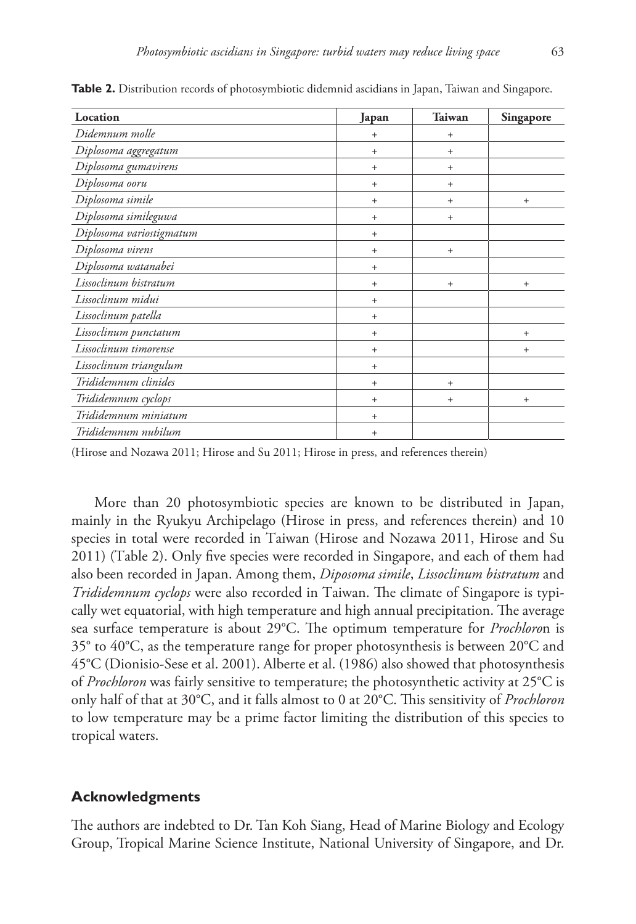| Location                 | Japan     | Taiwan    | Singapore |
|--------------------------|-----------|-----------|-----------|
| Didemnum molle           | $^{+}$    | $\ddot{}$ |           |
| Diplosoma aggregatum     | $^{+}$    | $\ddot{}$ |           |
| Diplosoma gumavirens     | $^{+}$    | $^{+}$    |           |
| Diplosoma ooru           | $^{+}$    | $\ddot{}$ |           |
| Diplosoma simile         | $\ddot{}$ | $\ddot{}$ | $\ddot{}$ |
| Diplosoma simileguwa     | $^{+}$    | $\ddot{}$ |           |
| Diplosoma variostigmatum | $^{+}$    |           |           |
| Diplosoma virens         | $^{+}$    | $+$       |           |
| Diplosoma watanabei      | $^{+}$    |           |           |
| Lissoclinum bistratum    | $^{+}$    | $\ddot{}$ | $^{+}$    |
| Lissoclinum midui        | $\ddot{}$ |           |           |
| Lissoclinum patella      | $^{+}$    |           |           |
| Lissoclinum punctatum    | $^{+}$    |           | $\ddot{}$ |
| Lissoclinum timorense    | $^{+}$    |           | $^{+}$    |
| Lissoclinum triangulum   | $^{+}$    |           |           |
| Trididemnum clinides     | $\ddot{}$ | $^{+}$    |           |
| Trididemnum cyclops      | $^{+}$    | $^{+}$    | $^{+}$    |
| Trididemnum miniatum     | $\ddot{}$ |           |           |
| Trididemnum nubilum      | $^{+}$    |           |           |

**Table 2.** Distribution records of photosymbiotic didemnid ascidians in Japan, Taiwan and Singapore.

(Hirose and Nozawa 2011; Hirose and Su 2011; Hirose in press, and references therein)

More than 20 photosymbiotic species are known to be distributed in Japan, mainly in the Ryukyu Archipelago (Hirose in press, and references therein) and 10 species in total were recorded in Taiwan (Hirose and Nozawa 2011, Hirose and Su 2011) (Table 2). Only five species were recorded in Singapore, and each of them had also been recorded in Japan. Among them, *Diposoma simile*, *Lissoclinum bistratum* and *Trididemnum cyclops* were also recorded in Taiwan. The climate of Singapore is typically wet equatorial, with high temperature and high annual precipitation. The average sea surface temperature is about 29°C. The optimum temperature for *Prochloro*n is 35° to 40°C, as the temperature range for proper photosynthesis is between 20°C and 45°C (Dionisio-Sese et al. 2001). Alberte et al. (1986) also showed that photosynthesis of *Prochloron* was fairly sensitive to temperature; the photosynthetic activity at 25°C is only half of that at 30°C, and it falls almost to 0 at 20°C. This sensitivity of *Prochloron* to low temperature may be a prime factor limiting the distribution of this species to tropical waters.

#### **Acknowledgments**

The authors are indebted to Dr. Tan Koh Siang, Head of Marine Biology and Ecology Group, Tropical Marine Science Institute, National University of Singapore, and Dr.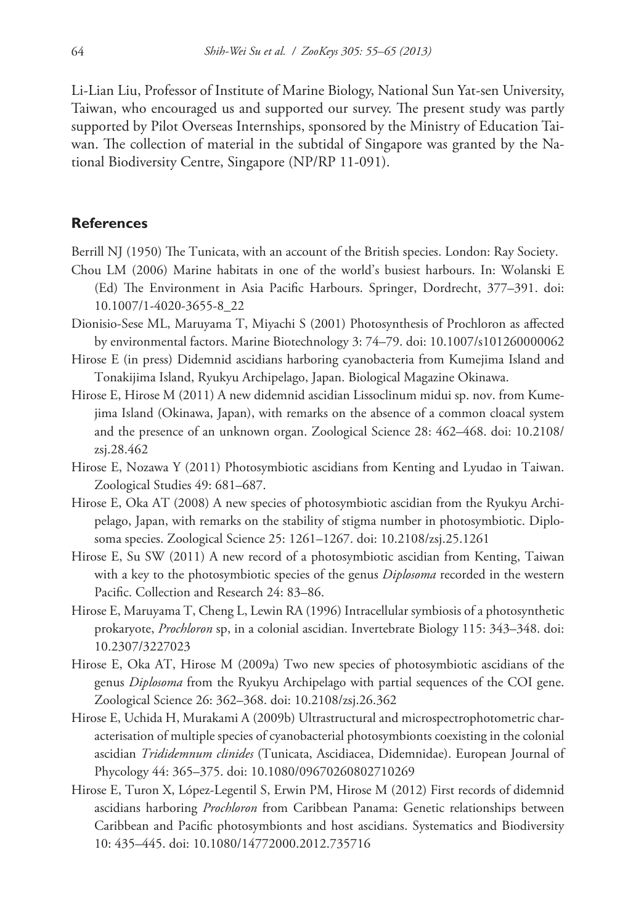Li-Lian Liu, Professor of Institute of Marine Biology, National Sun Yat-sen University, Taiwan, who encouraged us and supported our survey. The present study was partly supported by Pilot Overseas Internships, sponsored by the Ministry of Education Taiwan. The collection of material in the subtidal of Singapore was granted by the National Biodiversity Centre, Singapore (NP/RP 11-091).

### **References**

- Berrill NJ (1950) The Tunicata, with an account of the British species. London: Ray Society.
- Chou LM (2006) Marine habitats in one of the world's busiest harbours. In: Wolanski E (Ed) The Environment in Asia Pacific Harbours. Springer, Dordrecht, 377–391. [doi:](http://dx.doi.org/10.1007/1-4020-3655-8_22) [10.1007/1-4020-3655-8\\_22](http://dx.doi.org/10.1007/1-4020-3655-8_22)
- Dionisio-Sese ML, Maruyama T, Miyachi S (2001) Photosynthesis of Prochloron as affected by environmental factors. Marine Biotechnology 3: 74–79. [doi: 10.1007/s101260000062](http://dx.doi.org/10.1007/s101260000062)
- Hirose E (in press) Didemnid ascidians harboring cyanobacteria from Kumejima Island and Tonakijima Island, Ryukyu Archipelago, Japan. Biological Magazine Okinawa.
- Hirose E, Hirose M (2011) A new didemnid ascidian Lissoclinum midui sp. nov. from Kumejima Island (Okinawa, Japan), with remarks on the absence of a common cloacal system and the presence of an unknown organ. Zoological Science 28: 462–468. [doi: 10.2108/](http://dx.doi.org/10.2108/zsj.28.462) [zsj.28.462](http://dx.doi.org/10.2108/zsj.28.462)
- Hirose E, Nozawa Y (2011) Photosymbiotic ascidians from Kenting and Lyudao in Taiwan. Zoological Studies 49: 681–687.
- Hirose E, Oka AT (2008) A new species of photosymbiotic ascidian from the Ryukyu Archipelago, Japan, with remarks on the stability of stigma number in photosymbiotic. Diplosoma species. Zoological Science 25: 1261–1267. [doi: 10.2108/zsj.25.1261](http://dx.doi.org/10.2108/zsj.25.1261)
- Hirose E, Su SW (2011) A new record of a photosymbiotic ascidian from Kenting, Taiwan with a key to the photosymbiotic species of the genus *Diplosoma* recorded in the western Pacific. Collection and Research 24: 83–86.
- Hirose E, Maruyama T, Cheng L, Lewin RA (1996) Intracellular symbiosis of a photosynthetic prokaryote, *Prochloron* sp, in a colonial ascidian. Invertebrate Biology 115: 343–348. [doi:](http://dx.doi.org/10.2307/3227023) [10.2307/3227023](http://dx.doi.org/10.2307/3227023)
- Hirose E, Oka AT, Hirose M (2009a) Two new species of photosymbiotic ascidians of the genus *Diplosoma* from the Ryukyu Archipelago with partial sequences of the COI gene. Zoological Science 26: 362–368. [doi: 10.2108/zsj.26.362](http://dx.doi.org/10.2108/zsj.26.362)
- Hirose E, Uchida H, Murakami A (2009b) Ultrastructural and microspectrophotometric characterisation of multiple species of cyanobacterial photosymbionts coexisting in the colonial ascidian *Trididemnum clinides* (Tunicata, Ascidiacea, Didemnidae). European Journal of Phycology 44: 365–375. [doi: 10.1080/09670260802710269](http://dx.doi.org/10.1080/09670260802710269)
- Hirose E, Turon X, López-Legentil S, Erwin PM, Hirose M (2012) First records of didemnid ascidians harboring *Prochloron* from Caribbean Panama: Genetic relationships between Caribbean and Pacific photosymbionts and host ascidians. Systematics and Biodiversity 10: 435–445. [doi: 10.1080/14772000.2012.735716](http://dx.doi.org/10.1080/14772000.2012.735716)